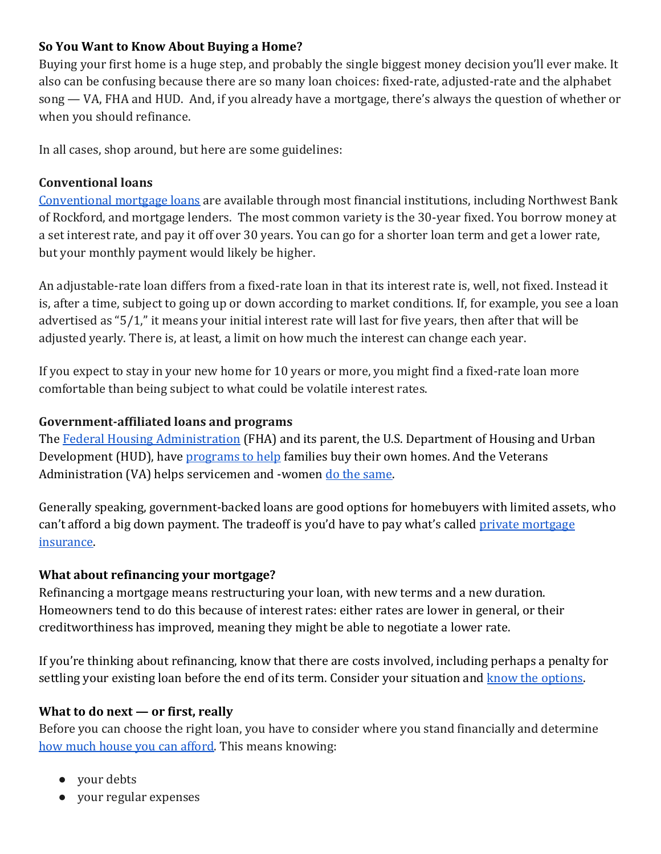### **So You Want to Know About Buying a Home?**

Buying your first home is a huge step, and probably the single biggest money decision you'll ever make. It also can be confusing because there are so many loan choices: fixed-rate, adjusted-rate and the alphabet song — VA, FHA and HUD. And, if you already have a mortgage, there's always the question of whether or when you should refinance.

In all cases, shop around, but here are some guidelines:

### **Conventional loans**

[Conventional mortgage loans](https://www.nwbrockford.com/mortgage-banking) are available through most financial institutions, including Northwest Bank of Rockford, and mortgage lenders. The most common variety is the 30-year fixed. You borrow money at a set interest rate, and pay it off over 30 years. You can go for a shorter loan term and get a lower rate, but your monthly payment would likely be higher.

An adjustable-rate loan differs from a fixed-rate loan in that its interest rate is, well, not fixed. Instead it is, after a time, subject to going up or down according to market conditions. If, for example, you see a loan advertised as "5/1," it means your initial interest rate will last for five years, then after that will be adjusted yearly. There is, at least, a limit on how much the interest can change each year.

If you expect to stay in your new home for 10 years or more, you might find a fixed-rate loan more comfortable than being subject to what could be volatile interest rates.

# **Government-affiliated loans and programs**

The [Federal Housing Administration](http://portal.hud.gov/hudportal/HUD?src=/program_offices/housing/fhahistory) (FHA) and its parent, the U.S. Department of Housing and Urban Development (HUD), have [programs to help](http://portal.hud.gov/hudportal/HUD?src=/program_offices/housing/sfh/reo/goodn/gnndabot) families buy their own homes. And the Veterans Administration (VA) helps servicemen and -wome[n do the same.](http://www.benefits.va.gov/homeloans/documents/docs/vap_26-4_online_version.pdf)

Generally speaking, government-backed loans are good options for homebuyers with limited assets, who can't afford a big down payment. The tradeoff is you'd have to pay what's called private mortgage [insurance.](http://www.nerdwallet.com/blog/mortgages/pmi-private-mortgage-insurance/)

# **What about refinancing your mortgage?**

Refinancing a mortgage means restructuring your loan, with new terms and a new duration. Homeowners tend to do this because of interest rates: either rates are lower in general, or their creditworthiness has improved, meaning they might be able to negotiate a lower rate.

If you're thinking about refinancing, know that there are costs involved, including perhaps a penalty for settling your existing loan before the end of its term. Consider your situation and [know the options.](https://www.nerdwallet.com/blog/finance/mortgage/refinance/)

# **What to do next — or first, really**

Before you can choose the right loan, you have to consider where you stand financially and determine [how much house you can afford.](https://www.nerdwallet.com/mortgages/how-much-house-can-i-afford) This means knowing:

- your debts
- your regular expenses